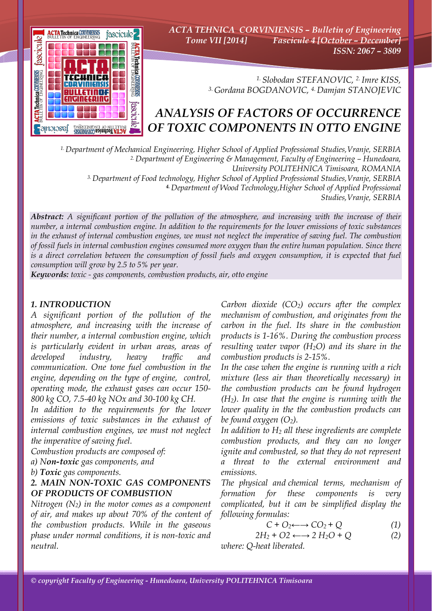

*ACTA TEHNICA CORVINIENSIS – Bulletin of Engineering Tome VII [2014] Fascicule 4 [October – December] ISSN: 2067 – 3809* 

> *1. Slobodan STEFANOVIC, 2. Imre KISS, 3. Gordana BOGDANOVIC, 4. Damjan STANOJEVIC*

## *ANALYSIS OF FACTORS OF OCCURRENCE OF TOXIC COMPONENTS IN OTTO ENGINE*

*1. Department of Mechanical Engineering, Higher School of Applied Professional Studies,Vranje, SERBIA 2. Department of Engineering & Management, Faculty of Engineering – Hunedoara, University POLITEHNICA Timisoara, ROMANIA 3. Department of Food technology, Higher School of Applied Professional Studies,Vranje, SERBIA 4. Department of Wood Technology,Higher School of Applied Professional Studies,Vranje, SERBIA*

*Abstract: A significant portion of the pollution of the atmosphere, and increasing with the increase of their number, a internal combustion engine. In addition to the requirements for the lower emissions of toxic substances in the exhaust of internal combustion engines, we must not neglect the imperative of saving fuel. The combustion of fossil fuels in internal combustion engines consumed more oxygen than the entire human population. Since there*  is a direct correlation between the consumption of fossil fuels and oxygen consumption, it is expected that fuel *consumption will grow by 2.5 to 5% per year.* 

*Keywords: toxic - gas components, combustion products, air, otto engine*

#### *1. INTRODUCTION*

*A significant portion of the pollution of the atmosphere, and increasing with the increase of their number, a internal combustion engine, which is particularly evident in urban areas, areas of developed industry, heavy traffic and communication. One tone fuel combustion in the engine, depending on the type of engine, control, operating mode, the exhaust gases can occur 150- 800 kg CO, 7.5-40 kg NOx and 30-100 kg CH.* 

*In addition to the requirements for the lower emissions of toxic substances in the exhaust of internal combustion engines, we must not neglect the imperative of saving fuel.* 

*Combustion products are composed of:* 

*a) Non-toxic gas components, and* 

*b) Toxic gas components.* 

#### *2. MAIN NON-TOXIC GAS COMPONENTS OF PRODUCTS OF COMBUSTION*

*Nitrogen (N2) in the motor comes as a component of air, and makes up about 70% of the content of the combustion products. While in the gaseous phase under normal conditions, it is non-toxic and neutral.* 

*Carbon dioxide (CO2) occurs after the complex mechanism of combustion, and originates from the carbon in the fuel. Its share in the combustion products is 1-16%. During the combustion process resulting water vapor (H2O) and its share in the combustion products is 2-15%.* 

*In the case when the engine is running with a rich mixture (less air than theoretically necessary) in the combustion products can be found hydrogen (H2). In case that the engine is running with the lower quality in the the combustion products can be found oxygen (O2).* 

*In addition to H2 all these ingredients are complete combustion products, and they can no longer ignite and combusted, so that they do not represent a threat to the external environment and emissions.* 

*The physical and chemical terms, mechanism of formation for these components is very complicated, but it can be simplified display the following formulas:* 

$$
C + O_2 \longleftrightarrow CO_2 + Q \tag{1}
$$

$$
2H_2 + O2 \longleftrightarrow 2 H_2O + Q \tag{2}
$$

*where: Q-heat liberated.*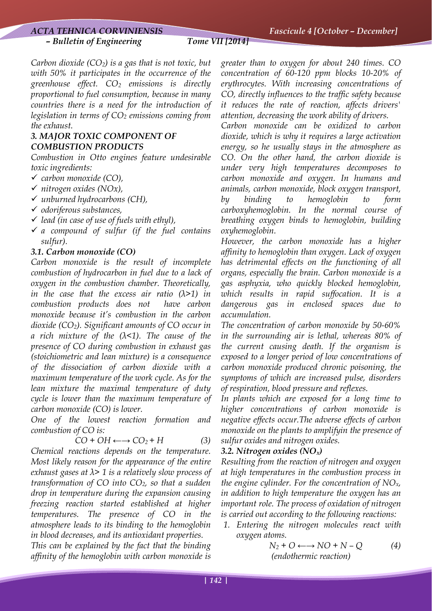*Carbon dioxide (CO2) is a gas that is not toxic, but with 50% it participates in the occurrence of the greenhouse effect. CO2 emissions is directly proportional to fuel consumption, because in many countries there is a need for the introduction of legislation in terms of CO2 emissions coming from the exhaust.* 

#### *3. MAJOR TOXIC COMPONENT OF COMBUSTION PRODUCTS*

*Combustion in Otto engines feature undesirable toxic ingredients:* 

- 9 *carbon monoxide (CO),*
- 9 *nitrogen oxides (NOx),*
- 9 *unburned hydrocarbons (CH),*
- 9 *odoriferous substances,*
- 9 *lead (in case of use of fuels with ethyl),*
- 9 *a compound of sulfur (if the fuel contains sulfur).*

#### *3.1. Carbon monoxide (CO)*

*Carbon monoxide is the result of incomplete combustion of hydrocarbon in fuel due to a lack of oxygen in the combustion chamber. Theoretically, in the case that the excess air ratio (λ>1) in combustion products does not have carbon monoxide because it's combustion in the carbon dioxide (CO2). Significant amounts of CO occur in a rich mixture of the (λ<1). The cause of the presence of CO during combustion in exhaust gas (stoichiometric and lean mixture) is a consequence of the dissociation of carbon dioxide with a maximum temperature of the work cycle. As for the lean mixture the maximal temperature of duty cycle is lower than the maximum temperature of carbon monoxide (CO) is lower.* 

*One of the lowest reaction formation and combustion of CO is:* 

$$
CO + OH \longleftrightarrow CO_2 + H \tag{3}
$$

*Chemical reactions depends on the temperature. Most likely reason for the appearance of the entire exhaust gases at λ> 1 is a relatively slow process of transformation of CO into CO2, so that a sudden drop in temperature during the expansion causing freezing reaction started established at higher temperatures. The presence of CO in the atmosphere leads to its binding to the hemoglobin in blood decreases, and its antioxidant properties.* 

*This can be explained by the fact that the binding affinity of the hemoglobin with carbon monoxide is* 

*greater than to oxygen for about 240 times. CO concentration of 60-120 ppm blocks 10-20% of erythrocytes. With increasing concentrations of CO, directly influences to the traffic safety because it reduces the rate of reaction, affects drivers' attention, decreasing the work ability of drivers.* 

*Carbon monoxide can be oxidized to carbon dioxide, which is why it requires a large activation energy, so he usually stays in the atmosphere as CO. On the other hand, the carbon dioxide is under very high temperatures decomposes to carbon monoxide and oxygen. In humans and animals, carbon monoxide, block oxygen transport, by binding to hemoglobin to form carboxyhemoglobin. In the normal course of breathing oxygen binds to hemoglobin, building oxyhemoglobin.* 

*However, the carbon monoxide has a higher affinity to hemoglobin than oxygen. Lack of oxygen has detrimental effects on the functioning of all organs, especially the brain. Carbon monoxide is a gas asphyxia, who quickly blocked hemoglobin, which results in rapid suffocation. It is a dangerous gas in enclosed spaces due to accumulation.* 

*The concentration of carbon monoxide by 50-60% in the surrounding air is lethal, whereas 80% of the current causing death. If the organism is exposed to a longer period of low concentrations of carbon monoxide produced chronic poisoning, the symptoms of which are increased pulse, disorders of respiration, blood pressure and reflexes.* 

*In plants which are exposed for a long time to higher concentrations of carbon monoxide is negative effects occur.The adverse effects of carbon monoxide on the plants to amplifyin the presence of sulfur oxides and nitrogen oxides.* 

#### *3.2. Nitrogen oxides (NOx)*

*Resulting from the reaction of nitrogen and oxygen at high temperatures in the combustion process in the engine cylinder. For the concentration of NOx, in addition to high temperature the oxygen has an important role. The process of oxidation of nitrogen is carried out according to the following reactions:* 

*1. Entering the nitrogen molecules react with oxygen atoms.* 

$$
N_2 + O \longleftrightarrow NO + N - Q \tag{4}
$$
  
(endothermic reaction)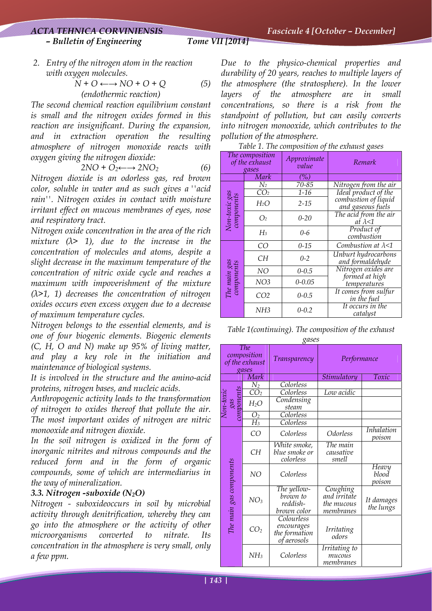# *– Bulletin of Engineering Tome VII [2014]*

*2. Entry of the nitrogen atom in the reaction with oxygen molecules.* 

$$
N + O \longleftrightarrow NO + O + Q \tag{5}
$$
  
(endothermic reaction)

*The second chemical reaction equilibrium constant is small and the nitrogen oxides formed in this reaction are insignificant. During the expansion, and in extraction operation the resulting atmosphere of nitrogen monoxide reacts with oxygen giving the nitrogen dioxide:* 

$$
2NO + O_2 \longleftrightarrow 2NO_2 \tag{6}
$$

*Nitrogen dioxide is an odorless gas, red brown color, soluble in water and as such gives a ''acid rain''. Nitrogen oxides in contact with moisture irritant effect on mucous membranes of eyes, nose and respiratory tract.* 

*Nitrogen oxide concentration in the area of the rich mixture (λ> 1), due to the increase in the concentration of molecules and atoms, despite a slight decrease in the maximum temperature of the concentration of nitric oxide cycle and reaches a maximum with impoverishment of the mixture (λ>1, 1) decreases the concentration of nitrogen oxides occurs even excess oxygen due to a decrease of maximum temperature cycles.* 

*Nitrogen belongs to the essential elements, and is one of four biogenic elements. Biogenic elements (C, H, O and N) make up 95% of living matter, and play a key role in the initiation and maintenance of biological systems.* 

*It is involved in the structure and the amino-acid proteins, nitrogen bases, and nucleic acids.* 

*Anthropogenic activity leads to the transformation of nitrogen to oxides thereof that pollute the air. The most important oxides of nitrogen are nitric monooxide and nitrogen dioxide.* 

*In the soil nitrogen is oxidized in the form of inorganic nitrites and nitrous compounds and the reduced form and in the form of organic compounds, some of which are intermediarius in the way of mineralization.* 

### *3.3. Nitrogen -suboxide (N2O)*

*Nitrogen - suboxideoccurs in soil by microbial activity through denitrification, whereby they can go into the atmosphere or the activity of other microorganisms converted to nitrate. Its concentration in the atmosphere is very small, only a few ppm.* 

*Due to the physico-chemical properties and durability of 20 years, reaches to multiple layers of the atmosphere (the stratosphere). In the lower layers of the atmosphere are in small concentrations, so there is a risk from the standpoint of pollution, but can easily converts into nitrogen monooxide, which contributes to the pollution of the atmosphere.* 

*Table 1. The composition of the exhaust gases* 

| The composition<br>of the exhaust<br>gases |                   | Approximate<br>value | Remark                                    |  |
|--------------------------------------------|-------------------|----------------------|-------------------------------------------|--|
|                                            | Mark              | $(\%)$               |                                           |  |
| Non-toxic gas<br>components                | $\rm{N_2}$        | 70-85                | Nitrogen from the air                     |  |
|                                            | $\overline{CO_2}$ | $1 - 16$             | Ideal product of the                      |  |
|                                            | $H_2O$            | $2 - 15$             | combustion of liquid<br>and gaseous fuels |  |
|                                            | O <sub>2</sub>    | $0 - 20$             | The acid from the air<br>at $\lambda$ <1  |  |
|                                            | $H_3$             | $0 - 6$              | Product of<br>combustion                  |  |
| The main gas<br>components                 | CO                | $0 - 15$             | Combustion at $\lambda$ <1                |  |
|                                            | CН                | $0 - 2$              | Unburt hydrocarbons<br>and formaldehyde   |  |
|                                            | NO                | $0 - 0.5$            | Nitrogen oxides are                       |  |
|                                            | NO <sub>3</sub>   | $0 - 0.05$           | formed at high<br>temperatures            |  |
|                                            | CO <sub>2</sub>   | $0 - 0.5$            | It comes from sulfur<br>in the fuel       |  |
|                                            | NH3               | $0 - 0.2$            | It occurs in the<br>catalyst              |  |

*Table 1(continuing). The composition of the exhaust gases* 

|                                                      |                 |                   | Ο                                                        |                                                     |                             |
|------------------------------------------------------|-----------------|-------------------|----------------------------------------------------------|-----------------------------------------------------|-----------------------------|
| <b>The</b><br>composition<br>of the exhaust<br>gases |                 |                   | Transparency                                             | Performance                                         |                             |
|                                                      |                 | Mark              |                                                          | Stimulatory                                         | Toxic                       |
| gas<br>components<br>$\sqrt{on}$ -toxi               |                 | $\rm N_2$         | Colorless                                                |                                                     |                             |
|                                                      | CO <sub>2</sub> | Colorless         | Low acidic                                               |                                                     |                             |
|                                                      |                 | $H_2O$            | Condensing<br>steam                                      |                                                     |                             |
|                                                      |                 |                   | Colorless                                                |                                                     |                             |
|                                                      |                 | $\frac{O_2}{H_3}$ | Colorless                                                |                                                     |                             |
| The main gas components                              |                 | CO                | Colorless                                                | <i>Odorless</i>                                     | <i>Inhalation</i><br>poison |
|                                                      |                 | CH                | White smoke,<br>blue smoke or<br>colorless               | The main<br>causative<br>smell                      |                             |
|                                                      |                 | NO                | Colorless                                                |                                                     | Неагу<br>blood<br>poison    |
|                                                      |                 | NO <sub>3</sub>   | The yellow-<br>brown to<br>reddish-<br>brown color       | Coughing<br>and irritate<br>the mucous<br>membranes | It damages<br>the lungs     |
|                                                      |                 | CO <sub>2</sub>   | Colourless<br>encourages<br>the formation<br>of aerosols | <i>Irritating</i><br>odors                          |                             |
|                                                      |                 | NH <sub>3</sub>   | Colorless                                                | Irritating to<br>mucous<br>membranes                |                             |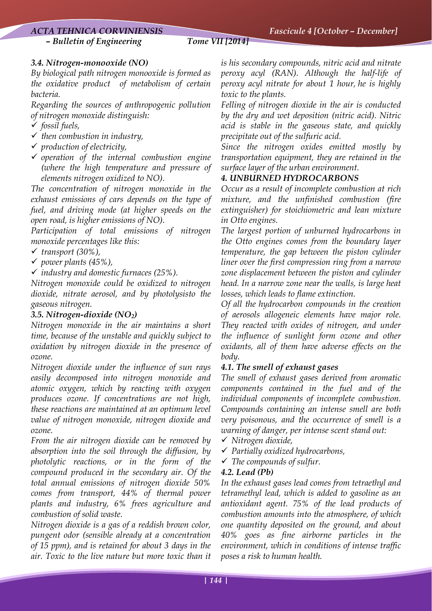*– Bulletin of Engineering Tome VII [2014]*

### *3.4. Nitrogen-monooxide (NO)*

*By biological path nitrogen monooxide is formed as the oxidative product of metabolism of certain bacteria.* 

*Regarding the sources of anthropogenic pollution of nitrogen monoxide distinguish:* 

- 9 *fossil fuels,*
- 9 *then combustion in industry,*
- 9 *production of electricity,*
- 9 *operation of the internal combustion engine (where the high temperature and pressure of elements nitrogen oxidized to NO).*

*The concentration of nitrogen monoxide in the exhaust emissions of cars depends on the type of fuel, and driving mode (at higher speeds on the open road, is higher emissions of NO).* 

*Participation of total emissions of nitrogen monoxide percentages like this:* 

- 9 *transport (30%),*
- 9 *power plants (45%),*
- 9 *industry and domestic furnaces (25%).*

*Nitrogen monoxide could be oxidized to nitrogen dioxide, nitrate aerosol, and by photolysisto the gaseous nitrogen.* 

#### *3.5. Nitrogen-dioxide (NO2)*

*Nitrogen monoxide in the air maintains a short time, because of the unstable and quickly subject to oxidation by nitrogen dioxide in the presence of ozone.* 

*Nitrogen dioxide under the influence of sun rays easily decomposed into nitrogen monoxide and atomic oxygen, which by reacting with oxygen produces ozone. If concentrations are not high, these reactions are maintained at an optimum level value of nitrogen monoxide, nitrogen dioxide and ozone.* 

*From the air nitrogen dioxide can be removed by absorption into the soil through the diffusion, by photolytic reactions, or in the form of the compound produced in the secondary air. Of the total annual emissions of nitrogen dioxide 50% comes from transport, 44% of thermal power plants and industry, 6% frees agriculture and combustion of solid waste.* 

*Nitrogen dioxide is a gas of a reddish brown color, pungent odor (sensible already at a concentration of 15 ppm), and is retained for about 3 days in the air. Toxic to the live nature but more toxic than it*  *is his secondary compounds, nitric acid and nitrate peroxy acyl (RAN). Although the half-life of peroxy acyl nitrate for about 1 hour, he is highly toxic to the plants.* 

*Felling of nitrogen dioxide in the air is conducted by the dry and wet deposition (nitric acid). Nitric acid is stable in the gaseous state, and quickly precipitate out of the sulfuric acid.* 

*Since the nitrogen oxides emitted mostly by transportation equipment, they are retained in the surface layer of the urban environment.* 

### *4. UNBURNED HYDROCARBONS*

*Occur as a result of incomplete combustion at rich mixture, and the unfinished combustion (fire extinguisher) for stoichiometric and lean mixture in Otto engines.* 

*The largest portion of unburned hydrocarbons in the Otto engines comes from the boundary layer temperature, the gap between the piston cylinder liner over the first compression ring from a narrow zone displacement between the piston and cylinder head. In a narrow zone near the walls, is large heat losses, which leads to flame extinction.* 

*Of all the hydrocarbon compounds in the creation of aerosols allogeneic elements have major role. They reacted with oxides of nitrogen, and under the influence of sunlight form ozone and other oxidants, all of them have adverse effects on the body.* 

### *4.1. The smell of exhaust gases*

*The smell of exhaust gases derived from aromatic components contained in the fuel and of the individual components of incomplete combustion. Compounds containing an intense smell are both very poisonous, and the occurrence of smell is a warning of danger, per intense scent stand out:* 

- 9 *Nitrogen dioxide,*
- 9 *Partially oxidized hydrocarbons,*
- 9 *The compounds of sulfur.*

#### *4.2. Lead (Pb)*

*In the exhaust gases lead comes from tetraethyl and tetramethyl lead, which is added to gasoline as an antioxidant agent. 75% of the lead products of combustion amounts into the atmosphere, of which one quantity deposited on the ground, and about 40% goes as fine airborne particles in the environment, which in conditions of intense traffic poses a risk to human health.*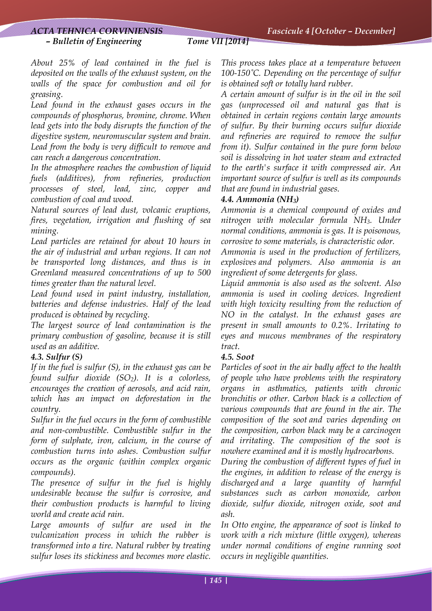#### *– Bulletin of Engineering Tome VII [2014]*

*About 25% of lead contained in the fuel is deposited on the walls of the exhaust system, on the walls of the space for combustion and oil for greasing.* 

*Lead found in the exhaust gases occurs in the compounds of phosphorus, bromine, chrome. When lead gets into the body disrupts the function of the digestive system, neuromuscular system and brain. Lead from the body is very difficult to remove and can reach a dangerous concentration.* 

*In the atmosphere reaches the combustion of liquid fuels (additives), from refineries, production processes of steel, lead, zinc, copper and combustion of coal and wood.* 

*Natural sources of lead dust, volcanic eruptions, fires, vegetation, irrigation and flushing of sea mining.* 

*Lead particles are retained for about 10 hours in the air of industrial and urban regions. It can not be transported long distances, and thus is in Greenland measured concentrations of up to 500 times greater than the natural level.* 

*Lead found used in paint industry, installation, batteries and defense industries. Half of the lead produced is obtained by recycling.* 

*The largest source of lead contamination is the primary combustion of gasoline, because it is still used as an additive.* 

#### *4.3. Sulfur (S)*

*If in the fuel is sulfur (S), in the exhaust gas can be found sulfur dioxide (SO2). It is a colorless, encourages the creation of aerosols, and acid rain, which has an impact on deforestation in the country.* 

*Sulfur in the fuel occurs in the form of combustible and non-combustible. Combustible sulfur in the form of sulphate, iron, calcium, in the course of combustion turns into ashes. Combustion sulfur occurs as the organic (within complex organic compounds).* 

*The presence of sulfur in the fuel is highly undesirable because the sulfur is corrosive, and their combustion products is harmful to living world and create acid rain.* 

*Large amounts of sulfur are used in the vulcanization process in which the rubber is transformed into a tire. Natural rubber by treating sulfur loses its stickiness and becomes more elastic.* 

*This process takes place at a temperature between 100-150˚C. Depending on the percentage of sulfur is obtained soft or totally hard rubber.* 

*A certain amount of sulfur is in the oil in the soil gas (unprocessed oil and natural gas that is obtained in certain regions contain large amounts of sulfur. By their burning occurs sulfur dioxide and refineries are required to remove the sulfur from it). Sulfur contained in the pure form below soil is dissolving in hot water steam and extracted to the earth's surface it with compressed air. An important source of sulfur is well as its compounds that are found in industrial gases.* 

#### *4.4. Ammonia (NH3)*

*Ammonia is a chemical compound of oxides and nitrogen with molecular formula NH3. Under normal conditions, ammonia is gas. It is poisonous, corrosive to some materials, is characteristic odor.* 

*Ammonia is used in the production of fertilizers, explosives and polymers. Also ammonia is an ingredient of some detergents for glass.* 

*Liquid ammonia is also used as the solvent. Also ammonia is used in cooling devices. Ingredient with high toxicity resulting from the reduction of NO in the catalyst. In the exhaust gases are present in small amounts to 0.2%. Irritating to eyes and mucous membranes of the respiratory tract.* 

#### *4.5. Soot*

*Particles of soot in the air badly affect to the health of people who have problems with the respiratory organs in asthmatics, patients with chronic bronchitis or other. Carbon black is a collection of various compounds that are found in the air. The composition of the soot and varies depending on the composition, carbon black may be a carcinogen and irritating. The composition of the soot is nowhere examined and it is mostly hydrocarbons.* 

*During the combustion of different types of fuel in the engines, in addition to release of the energy is discharged and a large quantity of harmful substances such as carbon monoxide, carbon dioxide, sulfur dioxide, nitrogen oxide, soot and ash.* 

*In Otto engine, the appearance of soot is linked to work with a rich mixture (little oxygen), whereas under normal conditions of engine running soot occurs in negligible quantities.*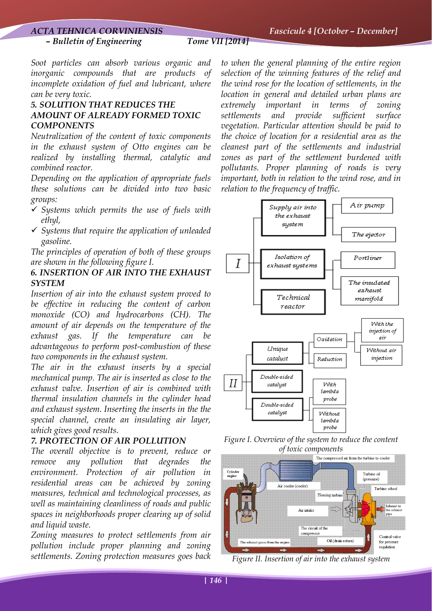*Soot particles can absorb various organic and inorganic compounds that are products of incomplete oxidation of fuel and lubricant, where can be very toxic.* 

#### *5. SOLUTION THAT REDUCES THE AMOUNT OF ALREADY FORMED TOXIC COMPONENTS*

*Neutralization of the content of toxic components in the exhaust system of Otto engines can be realized by installing thermal, catalytic and combined reactor.* 

*Depending on the application of appropriate fuels these solutions can be divided into two basic groups:* 

- 9 *Systems which permits the use of fuels with ethyl,*
- 9 *Systems that require the application of unleaded gasoline.*

*The principles of operation of both of these groups are shown in the following figure I.* 

#### *6. INSERTION OF AIR INTO THE EXHAUST SYSTEM*

*Insertion of air into the exhaust system proved to be effective in reducing the content of carbon monoxide (CO) and hydrocarbons (CH). The amount of air depends on the temperature of the exhaust gas. If the temperature can be advantageous to perform post-combustion of these two components in the exhaust system.* 

*The air in the exhaust inserts by a special mechanical pump. The air is inserted as close to the exhaust valve. Insertion of air is combined with thermal insulation channels in the cylinder head and exhaust system. Inserting the inserts in the the special channel, create an insulating air layer, which gives good results.* 

#### *7. PROTECTION OF AIR POLLUTION*

*The overall objective is to prevent, reduce or remove any pollution that degrades the environment. Protection of air pollution in residential areas can be achieved by zoning measures, technical and technological processes, as well as maintaining cleanliness of roads and public spaces in neighborhoods proper clearing up of solid and liquid waste.* 

*Zoning measures to protect settlements from air pollution include proper planning and zoning settlements. Zoning protection measures goes back* 

*to when the general planning of the entire region selection of the winning features of the relief and the wind rose for the location of settlements, in the location in general and detailed urban plans are extremely important in terms of zoning settlements and provide sufficient surface vegetation. Particular attention should be paid to the choice of location for a residential area as the cleanest part of the settlements and industrial zones as part of the settlement burdened with pollutants. Proper planning of roads is very important, both in relation to the wind rose, and in relation to the frequency of traffic.* 



*Figure I. Overview of the system to reduce the content of toxic components* 



*Figure II. Insertion of air into the exhaust system*